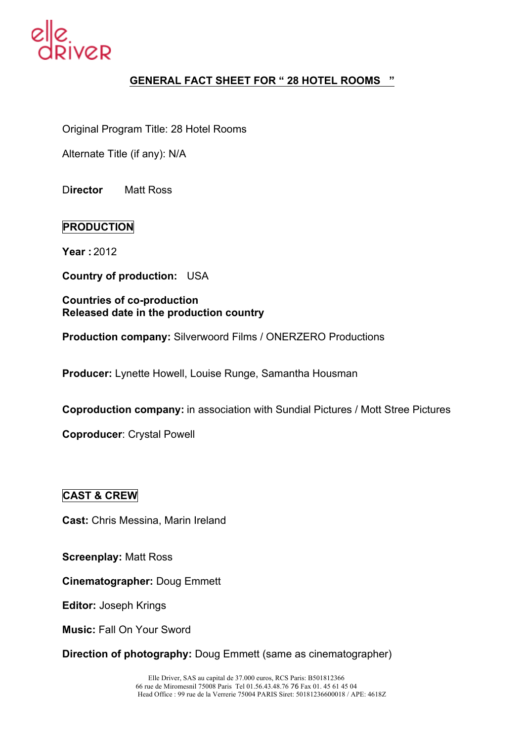

# **GENERAL FACT SHEET FOR " 28 HOTEL ROOMS "**

Original Program Title: 28 Hotel Rooms

Alternate Title (if any): N/A

D**irector** Matt Ross

## **PRODUCTION**

**Year :** 2012

**Country of production:** USA

#### **Countries of co-production Released date in the production country**

**Production company:** Silverwoord Films / ONERZERO Productions

**Producer:** Lynette Howell, Louise Runge, Samantha Housman

**Coproduction company:** in association with Sundial Pictures / Mott Stree Pictures

**Coproducer**: Crystal Powell

#### **CAST & CREW**

**Cast:** Chris Messina, Marin Ireland

**Screenplay:** Matt Ross

**Cinematographer:** Doug Emmett

**Editor:** Joseph Krings

**Music:** Fall On Your Sword

**Direction of photography:** Doug Emmett (same as cinematographer)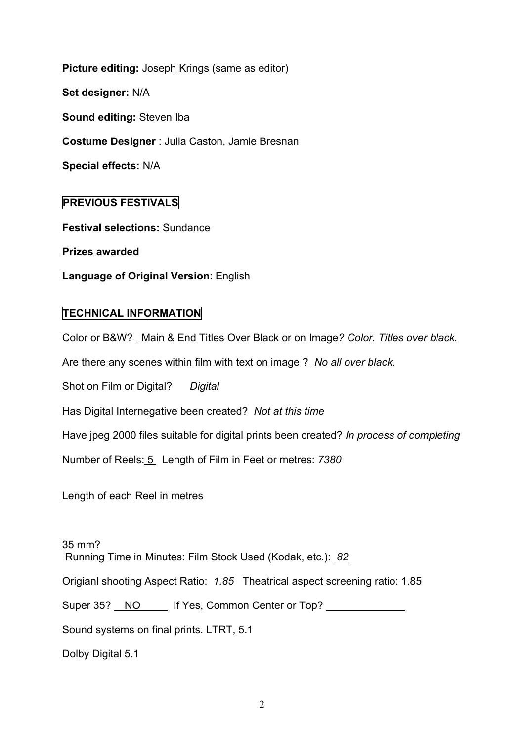**Picture editing:** Joseph Krings (same as editor) **Set designer:** N/A **Sound editing:** Steven Iba **Costume Designer** : Julia Caston, Jamie Bresnan **Special effects:** N/A

# **PREVIOUS FESTIVALS**

**Festival selections:** Sundance

**Prizes awarded**

**Language of Original Version**: English

## **TECHNICAL INFORMATION**

Color or B&W? Main & End Titles Over Black or on Image*? Color. Titles over black.*

Are there any scenes within film with text on image ? *No all over black*.

Shot on Film or Digital? *Digital* 

Has Digital Internegative been created? *Not at this time*

Have jpeg 2000 files suitable for digital prints been created? *In process of completing*

Number of Reels: 5 Length of Film in Feet or metres: *7380*

Length of each Reel in metres

35 mm? Running Time in Minutes: Film Stock Used (Kodak, etc.): *82*

Origianl shooting Aspect Ratio: *1.85* Theatrical aspect screening ratio: 1.85

Super 35? NO If Yes, Common Center or Top?

Sound systems on final prints. LTRT, 5.1

Dolby Digital 5.1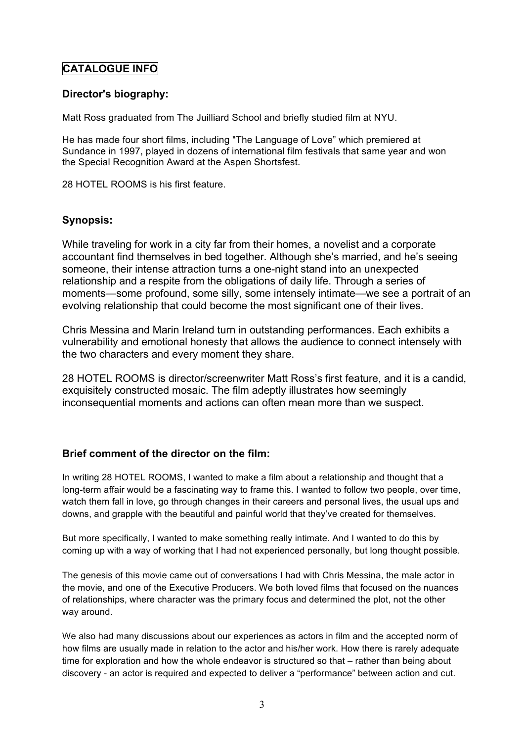# **CATALOGUE INFO**

#### **Director's biography:**

Matt Ross graduated from The Juilliard School and briefly studied film at NYU.

He has made four short films, including "The Language of Love" which premiered at Sundance in 1997, played in dozens of international film festivals that same year and won the Special Recognition Award at the Aspen Shortsfest.

28 HOTEL ROOMS is his first feature.

#### **Synopsis:**

While traveling for work in a city far from their homes, a novelist and a corporate accountant find themselves in bed together. Although she's married, and he's seeing someone, their intense attraction turns a one-night stand into an unexpected relationship and a respite from the obligations of daily life. Through a series of moments—some profound, some silly, some intensely intimate—we see a portrait of an evolving relationship that could become the most significant one of their lives.

Chris Messina and Marin Ireland turn in outstanding performances. Each exhibits a vulnerability and emotional honesty that allows the audience to connect intensely with the two characters and every moment they share.

28 HOTEL ROOMS is director/screenwriter Matt Ross's first feature, and it is a candid, exquisitely constructed mosaic. The film adeptly illustrates how seemingly inconsequential moments and actions can often mean more than we suspect.

## **Brief comment of the director on the film:**

In writing 28 HOTEL ROOMS, I wanted to make a film about a relationship and thought that a long-term affair would be a fascinating way to frame this. I wanted to follow two people, over time, watch them fall in love, go through changes in their careers and personal lives, the usual ups and downs, and grapple with the beautiful and painful world that they've created for themselves.

But more specifically, I wanted to make something really intimate. And I wanted to do this by coming up with a way of working that I had not experienced personally, but long thought possible.

The genesis of this movie came out of conversations I had with Chris Messina, the male actor in the movie, and one of the Executive Producers. We both loved films that focused on the nuances of relationships, where character was the primary focus and determined the plot, not the other way around.

We also had many discussions about our experiences as actors in film and the accepted norm of how films are usually made in relation to the actor and his/her work. How there is rarely adequate time for exploration and how the whole endeavor is structured so that – rather than being about discovery - an actor is required and expected to deliver a "performance" between action and cut.